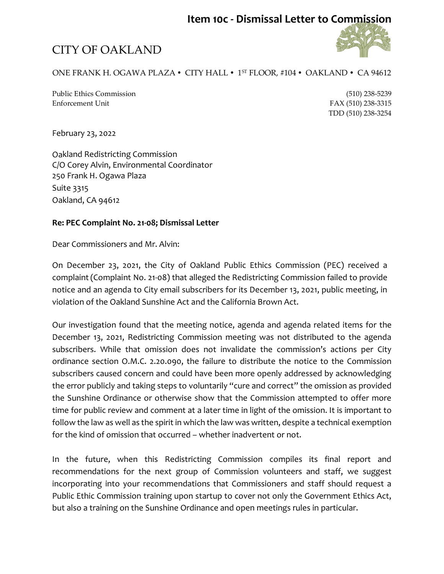### **Item 10c - Dismissal Letter to Commission**

# CITY OF OAKLAND

### ONE FRANK H. OGAWA PLAZA • CITY HALL • 1<sup>st</sup> FLOOR, #104 • OAKLAND • CA 94612

Public Ethics Commission (510) 238-5239 Enforcement Unit FAX (510) 238-3315

TDD (510) 238-3254

February 23, 2022

Oakland Redistricting Commission C/O Corey Alvin, Environmental Coordinator 250 Frank H. Ogawa Plaza Suite 3315 Oakland, CA 94612

#### **Re: PEC Complaint No. 21-08; Dismissal Letter**

Dear Commissioners and Mr. Alvin:

On December 23, 2021, the City of Oakland Public Ethics Commission (PEC) received a complaint(Complaint No. 21-08) that alleged the Redistricting Commission failed to provide notice and an agenda to City email subscribers for its December 13, 2021, public meeting, in violation of the Oakland Sunshine Act and the California Brown Act.

Our investigation found that the meeting notice, agenda and agenda related items for the December 13, 2021, Redistricting Commission meeting was not distributed to the agenda subscribers. While that omission does not invalidate the commission's actions per City ordinance section O.M.C. 2.20.090, the failure to distribute the notice to the Commission subscribers caused concern and could have been more openly addressed by acknowledging the error publicly and taking steps to voluntarily "cure and correct" the omission as provided the Sunshine Ordinance or otherwise show that the Commission attempted to offer more time for public review and comment at a later time in light of the omission. It is important to follow the law as well as the spirit in which the law was written, despite a technical exemption for the kind of omission that occurred – whether inadvertent or not.

In the future, when this Redistricting Commission compiles its final report and recommendations for the next group of Commission volunteers and staff, we suggest incorporating into your recommendations that Commissioners and staff should request a Public Ethic Commission training upon startup to cover not only the Government Ethics Act, but also a training on the Sunshine Ordinance and open meetings rules in particular.